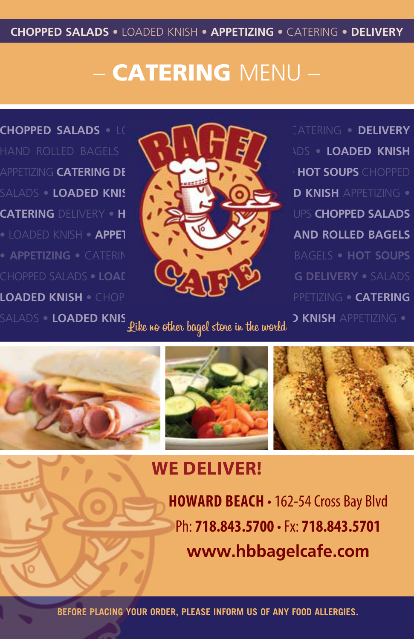# **CATERING MENU**



SALADS • LOADED KNIS **external or the pagel store in the world D** KNISH APPETIZING •







## **WE DELIVER!**

**HOWARD BEACH** • 162-54 Cross Bay Blvd Ph: **718.843.5700** • Fx: **718.843.5701 www.hbbagelcafe.com**

**BEFORE PLACING YOUR ORDER, PLEASE INFORM US OF ANY FOOD ALLERGIES.**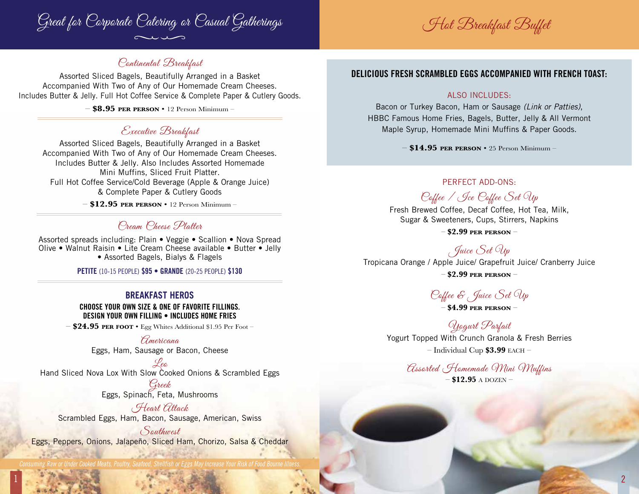

Hot Breakfast Buffet

### Continental Breakfast

Assorted Sliced Bagels, Beautifully Arranged in a Basket Accompanied With Two of Any of Our Homemade Cream Cheeses. Includes Butter & Jelly. Full Hot Coffee Service & Complete Paper & Cutlery Goods.

– **\$8.95 per person** • 12 Person Minimum –

### Executive Breakfast

Assorted Sliced Bagels, Beautifully Arranged in a Basket Accompanied With Two of Any of Our Homemade Cream Cheeses. Includes Butter & Jelly. Also Includes Assorted Homemade Mini Muffins, Sliced Fruit Platter. Full Hot Coffee Service/Cold Beverage (Apple & Orange Juice) & Complete Paper & Cutlery Goods

– **\$12.95 per person** • 12 Person Minimum –

### Cream Cheese Platter

Assorted spreads including: Plain • Veggie • Scallion • Nova Spread Olive • Walnut Raisin • Lite Cream Cheese available • Butter • Jelly • Assorted Bagels, Bialys & Flagels

**PETITE** (10-15 PEOPLE) **\$95 • GRANDE** (20-25 PEOPLE) **\$130**

**CHOOSE YOUR OWN SIZE & ONE OF FAVORITE FILLINGS. DESIGN YOUR OWN FILLING • INCLUDES HOME FRIES BREAKFAST HEROS**

– **\$24.95 per foot** • Egg Whites Additional \$1.95 Per Foot –

#### Americana

Eggs, Ham, Sausage or Bacon, Cheese

 $L_{ea}$ <br>Hand Sliced Nova Lox With Slow Cooked Onions & Scrambled Eggs

Greek<br>Eggs, Spinach, Feta, Mushrooms

Heart Attack Scrambled Eggs, Ham, Bacon, Sausage, American, Swiss

Southwest Eggs, Peppers, Onions, Jalapeño, Sliced Ham, Chorizo, Salsa & Cheddar

*Consuming Raw or Under Cooked Meats, Poultry, Seafood, Shellfish or Eggs May Increase Your Risk of Food Bourne Illness.*

#### **DELICIOUS FRESH SCRAMBLED EGGS ACCOMPANIED WITH FRENCH TOAST:**

#### ALSO INCLUDES:

Bacon or Turkey Bacon, Ham or Sausage *(Link or Patties)*, HBBC Famous Home Fries, Bagels, Butter, Jelly & All Vermont Maple Syrup, Homemade Mini Muffins & Paper Goods.

– **\$14.95 per person** • 25 Person Minimum –

#### PERFECT ADD-ONS:

Coffee / Ice Coffee Set Up

Fresh Brewed Coffee, Decaf Coffee, Hot Tea, Milk, Sugar & Sweeteners, Cups, Stirrers, Napkins

– **\$2.99 per person** –

Juice Set Up Tropicana Orange / Apple Juice/ Grapefruit Juice/ Cranberry Juice – **\$2.99 per person** –

Coffee & Juice Set Up

– **\$4.99 per person** –

Yogurt Parfait Yogurt Topped With Crunch Granola & Fresh Berries – Individual Cup **\$3.99** each –

> Assorted Homemade Mini Muffins  $-$  \$12.95 a dozen  $-$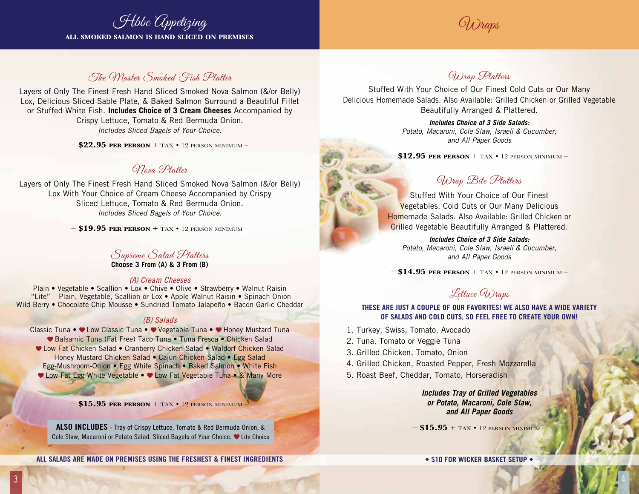

### The Master Smoked Fish Platter

Layers of Only The Finest Fresh Hand Sliced Smoked Nova Salmon (&/or Belly) Lox, Delicious Sliced Sable Plate, & Baked Salmon Surround a Beautiful Fillet or Stuffed White Fish. **Includes Choice of 3 Cream Cheeses** Accompanied by Crispy Lettuce, Tomato & Red Bermuda Onion. *Includes Sliced Bagels of Your Choice.*

– **\$22.95 per person** + tax • 12 person minimum –

### Nova Platter

Layers of Only The Finest Fresh Hand Sliced Smoked Nova Salmon (&/or Belly) Lox With Your Choice of Cream Cheese Accompanied by Crispy Sliced Lettuce, Tomato & Red Bermuda Onion. *Includes Sliced Bagels of Your Choice.*

– **\$19.95 per person** + tax • 12 person minimum –

### Supreme Salad Platters

**Choose 3 From (A) & 3 From (B)**

#### *(A) Cream Cheeses*

Plain • Vegetable • Scallion • Lox • Chive • Olive • Strawberry • Walnut Raisin "Lite" – Plain, Vegetable, Scallion or Lox • Apple Walnut Raisin • Spinach Onion Wild Berry • Chocolate Chip Mousse • Sundried Tomato Jalapeño • Bacon Garlic Cheddar

#### *(B) Salads*

Classic Tuna • Classic Tuna • Vegetable Tuna • Honey Mustard Tuna b Balsamic Tuna (Fat Free) Taco Tuna • Tuna Fresca • Chicken Salad • Low Fat Chicken Salad • Cranberry Chicken Salad • Waldorf Chicken Salad Honey Mustard Chicken Salad • Cajun Chicken Salad • Egg Salad Egg-Mushroom-Onion • Egg White Spinach • Baked Salmon • White Fish ● Low Fat Egg White Vegetable • ● Low Fat Vegetable Tuna • & Many More

– **\$15.95 per person** + tax • 12 person minimum –

**ALSO INCLUDES** - Tray of Crispy Lettuce, Tomato & Red Bermuda Onion, & Cole Slaw, Macaroni or Potato Salad. Sliced Bagels of Your Choice. C Lite Choice

**ALL SALADS ARE MADE ON PREMISES USING THE FRESHEST & FINEST INGREDIENTS**



### Wrap Platters

Stuffed With Your Choice of Our Finest Cold Cuts or Our Many Delicious Homemade Salads. Also Available: Grilled Chicken or Grilled Vegetable Beautifully Arranged & Plattered.

> *Includes Choice of 3 Side Salads: Potato, Macaroni, Cole Slaw, Israeli & Cucumber, and All Paper Goods*

**\$12.95** PER PERSON  $+$  TAX  $\cdot$  12 PERSON MINIMUM –

### Wrap Bite Platters

Stuffed With Your Choice of Our Finest Vegetables, Cold Cuts or Our Many Delicious Homemade Salads. Also Available: Grilled Chicken or Grilled Vegetable Beautifully Arranged & Plattered.

*Includes Choice of 3 Side Salads: Potato, Macaroni, Cole Slaw, Israeli & Cucumber, and All Paper Goods*

– **\$14.95 per person** + tax • 12 person minimum –

### Lettuce Wraps

#### **THESE ARE JUST A COUPLE OF OUR FAVORITES! WE ALSO HAVE A WIDE VARIETY OF SALADS AND COLD CUTS, SO FEEL FREE TO CREATE YOUR OWN!**

- 1. Turkey, Swiss, Tomato, Avocado
- 2. Tuna, Tomato or Veggie Tuna
- 3. Grilled Chicken, Tomato, Onion
- 4. Grilled Chicken, Roasted Pepper, Fresh Mozzarella
- 5. Roast Beef, Cheddar, Tomato, Horseradish

*Includes Tray of Grilled Vegetables or Potato, Macaroni, Cole Slaw, and All Paper Goods*

 $-$  **\$15.95**  $+$  tax  $\cdot$  12 person minimum

**• \$10 FOR WICKER BASKET SETUP •**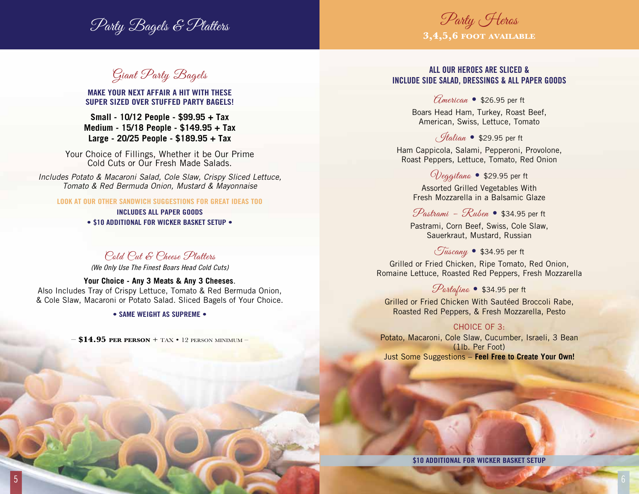Party Bagels & Platters

Giant Party Bagels

#### **MAKE YOUR NEXT AFFAIR A HIT WITH THESE SUPER SIZED OVER STUFFED PARTY BAGELS!**

**Small - 10/12 People - \$99.95 + Tax Medium - 15/18 People - \$149.95 + Tax Large - 20/25 People - \$189.95 + Tax**

Your Choice of Fillings, Whether it be Our Prime Cold Cuts or Our Fresh Made Salads.

*Includes Potato & Macaroni Salad, Cole Slaw, Crispy Sliced Lettuce, Tomato & Red Bermuda Onion, Mustard & Mayonnaise*

**LOOK AT OUR OTHER SANDWICH SUGGESTIONS FOR GREAT IDEAS TOO**

**INCLUDES ALL PAPER GOODS • \$10 ADDITIONAL FOR WICKER BASKET SETUP •**

### Cold Cut & Cheese Platters

*(We Only Use The Finest Boars Head Cold Cuts)*

**Your Choice - Any 3 Meats & Any 3 Cheeses**. Also Includes Tray of Crispy Lettuce, Tomato & Red Bermuda Onion, & Cole Slaw, Macaroni or Potato Salad. Sliced Bagels of Your Choice.

**• SAME WEIGHT AS SUPREME •**

– **\$14.95 per person** + tax • 12 person minimum –



#### **ALL OUR HEROES ARE SLICED & INCLUDE SIDE SALAD, DRESSINGS & ALL PAPER GOODS**

American **•** \$26.95 per ft Boars Head Ham, Turkey, Roast Beef, American, Swiss, Lettuce, Tomato

Italian **•** \$29.95 per ft Ham Cappicola, Salami, Pepperoni, Provolone, Roast Peppers, Lettuce, Tomato, Red Onion

> Veggitano **•** \$29.95 per ft Assorted Grilled Vegetables With Fresh Mozzarella in a Balsamic Glaze

Pastrami – Ruben **•** \$34.95 per ft

Pastrami, Corn Beef, Swiss, Cole Slaw, Sauerkraut, Mustard, Russian

Tuscany **•** \$34.95 per ft

Grilled or Fried Chicken, Ripe Tomato, Red Onion, Romaine Lettuce, Roasted Red Peppers, Fresh Mozzarella

Portafino **•** \$34.95 per ft Grilled or Fried Chicken With Sautéed Broccoli Rabe,

Roasted Red Peppers, & Fresh Mozzarella, Pesto

#### CHOICE OF 3:

Potato, Macaroni, Cole Slaw, Cucumber, Israeli, 3 Bean (1lb. Per Foot) Just Some Suggestions – **Feel Free to Create Your Own!**

**\$10 ADDITIONAL FOR WICKER BASKET SETUP**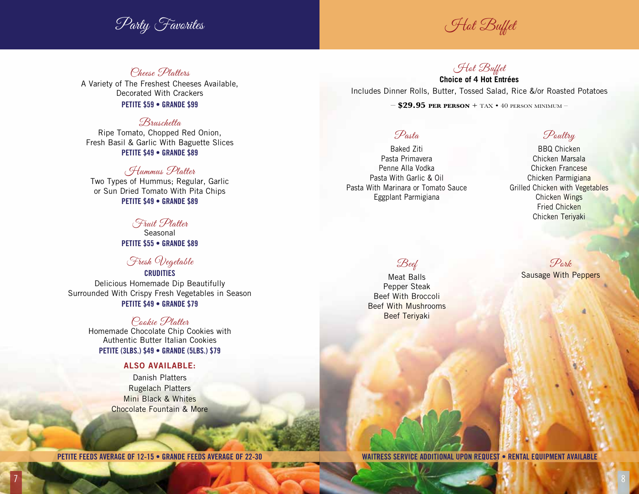# Party Favorites For the Buffet

Cheese Platters A Variety of The Freshest Cheeses Available, Decorated With Crackers **PETITE \$59 • GRANDE \$99**

Bruschetta Ripe Tomato, Chopped Red Onion, Fresh Basil & Garlic With Baguette Slices **PETITE \$49 • GRANDE \$89**

### Hummus Platter

Two Types of Hummus; Regular, Garlic or Sun Dried Tomato With Pita Chips **PETITE \$49 • GRANDE \$89**

### Fruit Platter

Seasonal **PETITE \$55 • GRANDE \$89**

### Fresh Vegetable

**CRUDITIES** Delicious Homemade Dip Beautifully Surrounded With Crispy Fresh Vegetables in Season **PETITE \$49 • GRANDE \$79**

### Cookie Platter

Homemade Chocolate Chip Cookies with Authentic Butter Italian Cookies **PETITE (3LBS.) \$49 • GRANDE (5LBS.) \$79**

#### **ALSO AVAILABLE:**

Danish Platters Rugelach Platters Mini Black & Whites Chocolate Fountain & More

Hot Buffet **Choice of 4 Hot Entrées** Includes Dinner Rolls, Butter, Tossed Salad, Rice &/or Roasted Potatoes

– **\$29.95 per person** + tax • 40 person minimum –

### Pasta

Baked Ziti Pasta Primavera Penne Alla Vodka Pasta With Garlic & Oil Pasta With Marinara or Tomato Sauce Eggplant Parmigiana

### Poultry

BBQ Chicken Chicken Marsala Chicken Francese Chicken Parmigiana Grilled Chicken with Vegetables Chicken Wings Fried Chicken Chicken Teriyaki

Beef

Meat Balls Pepper Steak Beef With Broccoli Beef With Mushrooms Beef Teriyaki

Pork Sausage With Peppers

**PETITE FEEDS AVERAGE OF 12-15 • GRANDE FEEDS AVERAGE OF 22-30 WAITRESS SERVICE ADDITIONAL UPON REQUEST • RENTAL EQUIPMENT AVAILABLE**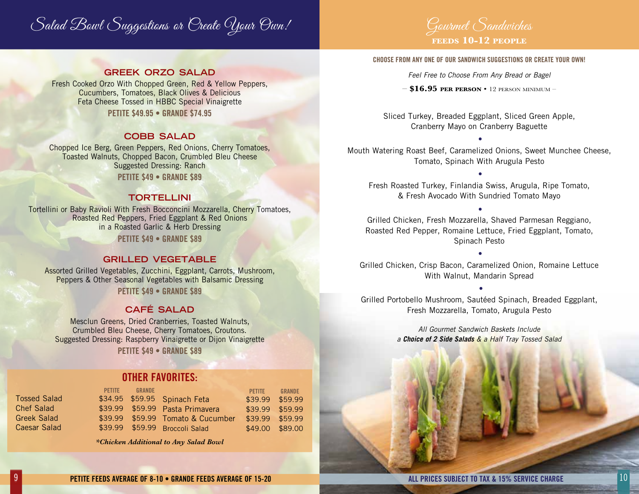Salad Bowl Suggestions or Create Your Own!



#### **CHOOSE FROM ANY ONE OF OUR SANDWICH SUGGESTIONS OR CREATE YOUR OWN!**

*Feel Free to Choose From Any Bread or Bagel*

– **\$16.95 per person** • 12 person minimum –

Sliced Turkey, Breaded Eggplant, Sliced Green Apple, Cranberry Mayo on Cranberry Baguette

 **•** 

Mouth Watering Roast Beef, Caramelized Onions, Sweet Munchee Cheese, Tomato, Spinach With Arugula Pesto

 **•** 

Fresh Roasted Turkey, Finlandia Swiss, Arugula, Ripe Tomato, & Fresh Avocado With Sundried Tomato Mayo

Grilled Chicken, Fresh Mozzarella, Shaved Parmesan Reggiano, Roasted Red Pepper, Romaine Lettuce, Fried Eggplant, Tomato, Spinach Pesto

 **•** 

 **•** 

Grilled Chicken, Crisp Bacon, Caramelized Onion, Romaine Lettuce With Walnut, Mandarin Spread

Grilled Portobello Mushroom, Sautéed Spinach, Breaded Eggplant, Fresh Mozzarella, Tomato, Arugula Pesto

 **•** 

*All Gourmet Sandwich Baskets Include a Choice of 2 Side Salads & a Half Tray Tossed Salad*

#### **greek orzo salad**

Fresh Cooked Orzo With Chopped Green, Red & Yellow Peppers, Cucumbers, Tomatoes, Black Olives & Delicious Feta Cheese Tossed in HBBC Special Vinaigrette

**PETITE \$49.95 • GRANDE \$74.95**

#### **cobb salad**

Chopped Ice Berg, Green Peppers, Red Onions, Cherry Tomatoes, Toasted Walnuts, Chopped Bacon, Crumbled Bleu Cheese Suggested Dressing: Ranch

**PETITE \$49 • GRANDE \$89**

#### **tortellini**

Tortellini or Baby Ravioli With Fresh Bocconcini Mozzarella, Cherry Tomatoes, Roasted Red Peppers, Fried Eggplant & Red Onions in a Roasted Garlic & Herb Dressing

**PETITE \$49 • GRANDE \$89**

#### **grilled vegetable**

Assorted Grilled Vegetables, Zucchini, Eggplant, Carrots, Mushroom, Peppers & Other Seasonal Vegetables with Balsamic Dressing

**PETITE \$49 • GRANDE \$89**

### **café salad**

Mesclun Greens, Dried Cranberries, Toasted Walnuts, Crumbled Bleu Cheese, Cherry Tomatoes, Croutons. Suggested Dressing: Raspberry Vinaigrette or Dijon Vinaigrette **PETITE \$49 • GRANDE \$89**

### **OTHER FAVORITES:**

| <b>PETITE</b> | <b>GRANDE</b> |                                   | <b>PETITE</b>   | <b>GRANDE</b> |
|---------------|---------------|-----------------------------------|-----------------|---------------|
|               |               | \$34.95 \$59.95 Spinach Feta      | \$39.99         | \$59.99       |
|               |               | \$39.99 \$59.99 Pasta Primavera   | \$39.99 \$59.99 |               |
|               |               | \$39.99 \$59.99 Tomato & Cucumber | \$39.99 \$59.99 |               |
|               |               | \$39.99 \$59.99 Broccoli Salad    | \$49.00 \$89.00 |               |

*\*Chicken Additional to Any Salad Bowl*

**Tossed Salad** Chef Salad Greek Salad Caesar Salad

9